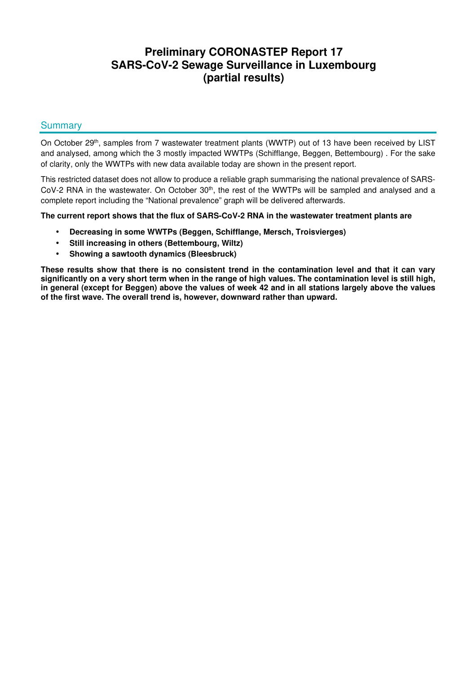# **Preliminary CORONASTEP Report 17 SARS-CoV-2 Sewage Surveillance in Luxembourg (partial results)**

## **Summary**

On October 29<sup>th</sup>, samples from 7 wastewater treatment plants (WWTP) out of 13 have been received by LIST and analysed, among which the 3 mostly impacted WWTPs (Schifflange, Beggen, Bettembourg) . For the sake of clarity, only the WWTPs with new data available today are shown in the present report.

This restricted dataset does not allow to produce a reliable graph summarising the national prevalence of SARS-CoV-2 RNA in the wastewater. On October  $30<sup>th</sup>$ , the rest of the WWTPs will be sampled and analysed and a complete report including the "National prevalence" graph will be delivered afterwards.

**The current report shows that the flux of SARS-CoV-2 RNA in the wastewater treatment plants are** 

- **Decreasing in some WWTPs (Beggen, Schifflange, Mersch, Troisvierges)**
- **Still increasing in others (Bettembourg, Wiltz)**
- **Showing a sawtooth dynamics (Bleesbruck)**

**These results show that there is no consistent trend in the contamination level and that it can vary significantly on a very short term when in the range of high values. The contamination level is still high, in general (except for Beggen) above the values of week 42 and in all stations largely above the values of the first wave. The overall trend is, however, downward rather than upward.**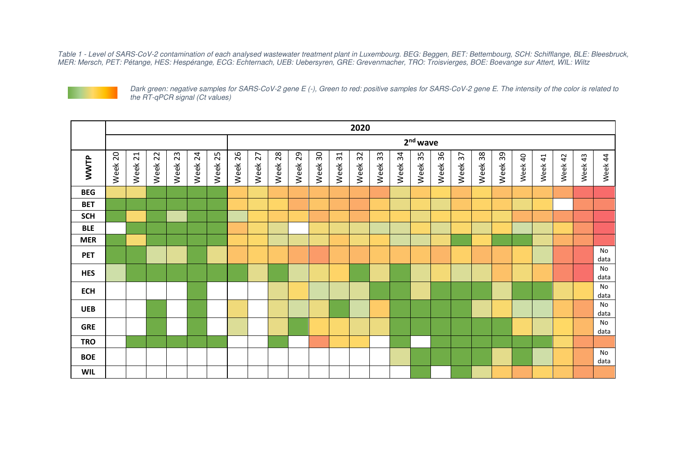Table 1 - Level of SARS-CoV-2 contamination of each analysed wastewater treatment plant in Luxembourg. BEG: Beggen, BET: Bettembourg, SCH: Schifflange, BLE: Bleesbruck,<br>MER: Mersch, PET: Pétange, HES: Hespérange, ECG: Echt



Dark green: negative samples for SARS-CoV-2 gene E (-), Green to red: positive samples for SARS-CoV-2 gene E. The intensity of the color is related to the RT-qPCR signal (Ct values)

|             | 2020                 |            |         |         |         |         |            |         |         |         |         |            |            |         |             |         |            |                         |         |         |         |         |         |         |            |
|-------------|----------------------|------------|---------|---------|---------|---------|------------|---------|---------|---------|---------|------------|------------|---------|-------------|---------|------------|-------------------------|---------|---------|---------|---------|---------|---------|------------|
|             | 2 <sup>nd</sup> wave |            |         |         |         |         |            |         |         |         |         |            |            |         |             |         |            |                         |         |         |         |         |         |         |            |
| <b>WWTP</b> | Week 20              | 21<br>Week | Week 22 | Week 23 | Week 24 | Week 25 | 26<br>Week | Week 27 | Week 28 | Week 29 | Week 30 | 31<br>Week | 32<br>Week | Week 33 | 34<br>Week. | Week 35 | 36<br>Week | $\overline{37}$<br>Week | Week 38 | Week 39 | Week 40 | Week 41 | Week 42 | Week 43 | Week 44    |
| <b>BEG</b>  |                      |            |         |         |         |         |            |         |         |         |         |            |            |         |             |         |            |                         |         |         |         |         |         |         |            |
| <b>BET</b>  |                      |            |         |         |         |         |            |         |         |         |         |            |            |         |             |         |            |                         |         |         |         |         |         |         |            |
| <b>SCH</b>  |                      |            |         |         |         |         |            |         |         |         |         |            |            |         |             |         |            |                         |         |         |         |         |         |         |            |
| <b>BLE</b>  |                      |            |         |         |         |         |            |         |         |         |         |            |            |         |             |         |            |                         |         |         |         |         |         |         |            |
| <b>MER</b>  |                      |            |         |         |         |         |            |         |         |         |         |            |            |         |             |         |            |                         |         |         |         |         |         |         |            |
| <b>PET</b>  |                      |            |         |         |         |         |            |         |         |         |         |            |            |         |             |         |            |                         |         |         |         |         |         |         | No<br>data |
| <b>HES</b>  |                      |            |         |         |         |         |            |         |         |         |         |            |            |         |             |         |            |                         |         |         |         |         |         |         | No<br>data |
| <b>ECH</b>  |                      |            |         |         |         |         |            |         |         |         |         |            |            |         |             |         |            |                         |         |         |         |         |         |         | No<br>data |
| <b>UEB</b>  |                      |            |         |         |         |         |            |         |         |         |         |            |            |         |             |         |            |                         |         |         |         |         |         |         | No<br>data |
| <b>GRE</b>  |                      |            |         |         |         |         |            |         |         |         |         |            |            |         |             |         |            |                         |         |         |         |         |         |         | No<br>data |
| <b>TRO</b>  |                      |            |         |         |         |         |            |         |         |         |         |            |            |         |             |         |            |                         |         |         |         |         |         |         |            |
| <b>BOE</b>  |                      |            |         |         |         |         |            |         |         |         |         |            |            |         |             |         |            |                         |         |         |         |         |         |         | No<br>data |
| <b>WIL</b>  |                      |            |         |         |         |         |            |         |         |         |         |            |            |         |             |         |            |                         |         |         |         |         |         |         |            |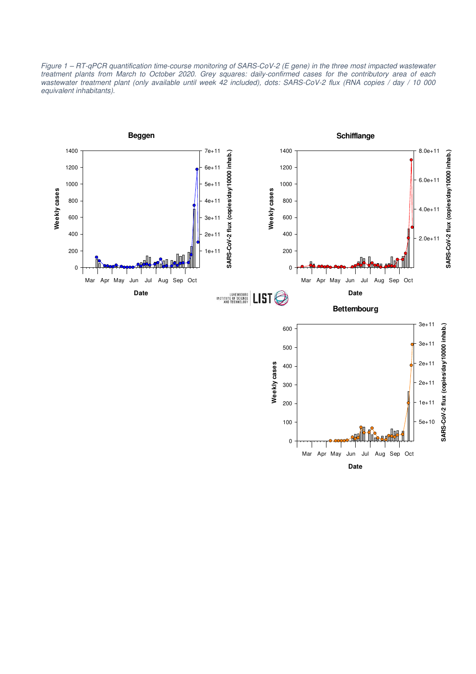Figure 1 – RT-qPCR quantification time-course monitoring of SARS-CoV-2 (E gene) in the three most impacted wastewater treatment plants from March to October 2020. Grey squares: daily-confirmed cases for the contributory area of each wastewater treatment plant (only available until week 42 included), dots: SARS-CoV-2 flux (RNA copies / day / 10 000 equivalent inhabitants).

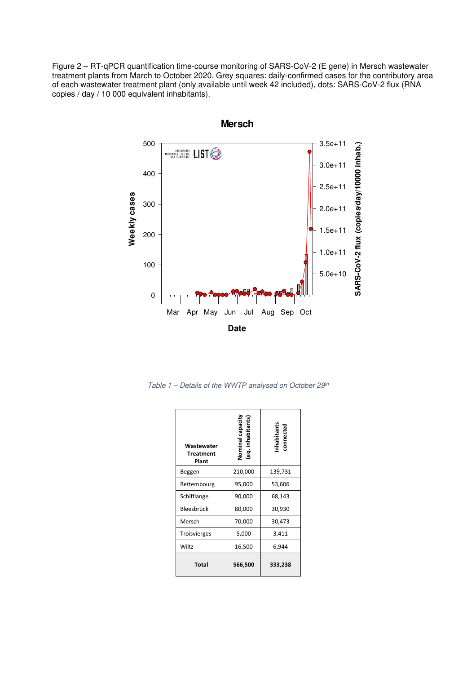Figure 2 – RT-qPCR quantification time-course monitoring of SARS-CoV-2 (E gene) in Mersch wastewater treatment plants from March to October 2020. Grey squares: daily-confirmed cases for the contributory area of each wastewater treatment plant (only available until week 42 included), dots: SARS-CoV-2 flux (RNA copies / day / 10 000 equivalent inhabitants).



Table  $1$  – Details of the WWTP analysed on October 29<sup>th</sup>

| Wastewater<br><b>Treatment</b><br>Plant | Nominal capacity<br>(eq. inhabitants) | nhabitant<br>connected |  |  |
|-----------------------------------------|---------------------------------------|------------------------|--|--|
| Beggen                                  | 210,000                               | 139,731                |  |  |
| Bettembourg                             | 95,000                                | 53,606                 |  |  |
| Schifflange                             | 90,000                                | 68,143                 |  |  |
| Bleesbrück                              | 80,000                                | 30,930                 |  |  |
| Mersch                                  | 70,000                                | 30,473                 |  |  |
| <b>Troisvierges</b>                     | 5,000                                 | 3,411                  |  |  |
| Wiltz                                   | 16,500                                | 6,944                  |  |  |
| <b>Total</b>                            | 566,500                               | 333,238                |  |  |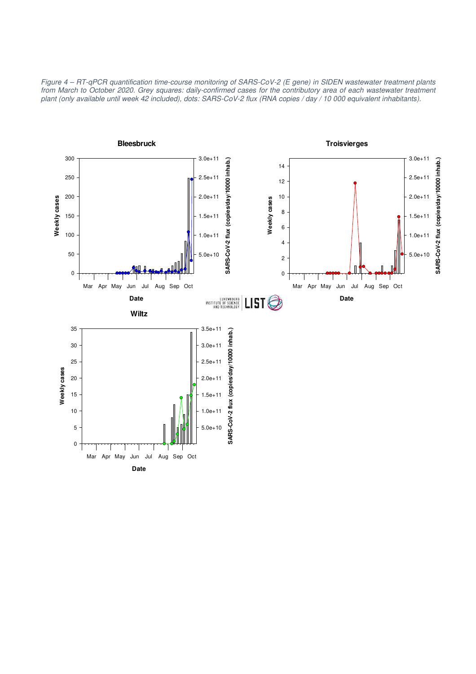Figure 4 – RT-qPCR quantification time-course monitoring of SARS-CoV-2 (E gene) in SIDEN wastewater treatment plants from March to October 2020. Grey squares: daily-confirmed cases for the contributory area of each wastewater treatment plant (only available until week 42 included), dots: SARS-CoV-2 flux (RNA copies / day / 10 000 equivalent inhabitants).

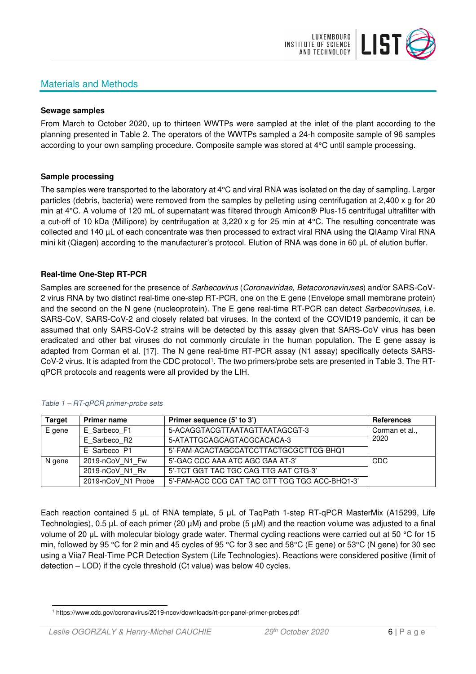

### Materials and Methods

#### **Sewage samples**

From March to October 2020, up to thirteen WWTPs were sampled at the inlet of the plant according to the planning presented in Table 2. The operators of the WWTPs sampled a 24-h composite sample of 96 samples according to your own sampling procedure. Composite sample was stored at 4°C until sample processing.

#### **Sample processing**

The samples were transported to the laboratory at 4°C and viral RNA was isolated on the day of sampling. Larger particles (debris, bacteria) were removed from the samples by pelleting using centrifugation at 2,400 x g for 20 min at 4°C. A volume of 120 mL of supernatant was filtered through Amicon® Plus-15 centrifugal ultrafilter with a cut-off of 10 kDa (Millipore) by centrifugation at 3,220 x g for 25 min at 4°C. The resulting concentrate was collected and 140 µL of each concentrate was then processed to extract viral RNA using the QIAamp Viral RNA mini kit (Qiagen) according to the manufacturer's protocol. Elution of RNA was done in 60 μL of elution buffer.

#### **Real-time One-Step RT-PCR**

Samples are screened for the presence of Sarbecovirus (Coronaviridae, Betacoronaviruses) and/or SARS-CoV-2 virus RNA by two distinct real-time one-step RT-PCR, one on the E gene (Envelope small membrane protein) and the second on the N gene (nucleoprotein). The E gene real-time RT-PCR can detect Sarbecoviruses, i.e. SARS-CoV, SARS-CoV-2 and closely related bat viruses. In the context of the COVID19 pandemic, it can be assumed that only SARS-CoV-2 strains will be detected by this assay given that SARS-CoV virus has been eradicated and other bat viruses do not commonly circulate in the human population. The E gene assay is adapted from Corman et al. [17]. The N gene real-time RT-PCR assay (N1 assay) specifically detects SARS-CoV-2 virus. It is adapted from the CDC protocol<sup>1</sup>. The two primers/probe sets are presented in Table 3. The RTqPCR protocols and reagents were all provided by the LIH.

| <b>Target</b> | <b>Primer name</b> | Primer sequence (5' to 3')                     | <b>References</b> |  |  |
|---------------|--------------------|------------------------------------------------|-------------------|--|--|
| E gene        | E Sarbeco F1       | 5-ACAGGTACGTTAATAGTTAATAGCGT-3                 | Corman et al.,    |  |  |
|               | E Sarbeco R2       | 5-ATATTGCAGCAGTACGCACACA-3                     | 2020              |  |  |
|               | E Sarbeco P1       | 5'-FAM-ACACTAGCCATCCTTACTGCGCTTCG-BHQ1         |                   |  |  |
| N gene        | 2019-nCoV N1 Fw    | 5'-GAC CCC AAA ATC AGC GAA AT-3'               | CDC               |  |  |
|               | 2019-nCoV N1 Rv    | 5'-TCT GGT TAC TGC CAG TTG AAT CTG-3'          |                   |  |  |
|               | 2019-nCoV N1 Probe | 5'-FAM-ACC CCG CAT TAC GTT TGG TGG ACC-BHQ1-3' |                   |  |  |

#### Table 1 – RT-qPCR primer-probe sets

Each reaction contained 5 μL of RNA template, 5 μL of TaqPath 1-step RT-qPCR MasterMix (A15299, Life Technologies),  $0.5 \mu L$  of each primer (20  $\mu$ M) and probe (5  $\mu$ M) and the reaction volume was adjusted to a final volume of 20 μL with molecular biology grade water. Thermal cycling reactions were carried out at 50 °C for 15 min, followed by 95 °C for 2 min and 45 cycles of 95 °C for 3 sec and 58°C (E gene) or 53°C (N gene) for 30 sec using a Viia7 Real-Time PCR Detection System (Life Technologies). Reactions were considered positive (limit of detection – LOD) if the cycle threshold (Ct value) was below 40 cycles.

<sup>1</sup> https://www.cdc.gov/coronavirus/2019-ncov/downloads/rt-pcr-panel-primer-probes.pdf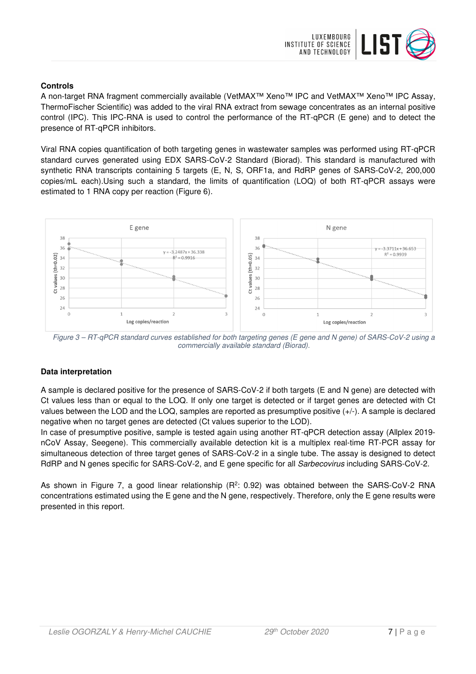

### **Controls**

A non-target RNA fragment commercially available (VetMAX™ Xeno™ IPC and VetMAX™ Xeno™ IPC Assay, ThermoFischer Scientific) was added to the viral RNA extract from sewage concentrates as an internal positive control (IPC). This IPC-RNA is used to control the performance of the RT-qPCR (E gene) and to detect the presence of RT-qPCR inhibitors.

Viral RNA copies quantification of both targeting genes in wastewater samples was performed using RT-qPCR standard curves generated using EDX SARS-CoV-2 Standard (Biorad). This standard is manufactured with synthetic RNA transcripts containing 5 targets (E, N, S, ORF1a, and RdRP genes of SARS-CoV-2, 200,000 copies/mL each).Using such a standard, the limits of quantification (LOQ) of both RT-qPCR assays were estimated to 1 RNA copy per reaction (Figure 6).



Figure 3 – RT-qPCR standard curves established for both targeting genes (E gene and N gene) of SARS-CoV-2 using a commercially available standard (Biorad).

#### **Data interpretation**

A sample is declared positive for the presence of SARS-CoV-2 if both targets (E and N gene) are detected with Ct values less than or equal to the LOQ. If only one target is detected or if target genes are detected with Ct values between the LOD and the LOQ, samples are reported as presumptive positive (+/-). A sample is declared negative when no target genes are detected (Ct values superior to the LOD).

In case of presumptive positive, sample is tested again using another RT-qPCR detection assay (Allplex 2019 nCoV Assay, Seegene). This commercially available detection kit is a multiplex real-time RT-PCR assay for simultaneous detection of three target genes of SARS-CoV-2 in a single tube. The assay is designed to detect RdRP and N genes specific for SARS-CoV-2, and E gene specific for all Sarbecovirus including SARS-CoV-2.

As shown in Figure 7, a good linear relationship (R<sup>2</sup>: 0.92) was obtained between the SARS-CoV-2 RNA concentrations estimated using the E gene and the N gene, respectively. Therefore, only the E gene results were presented in this report.